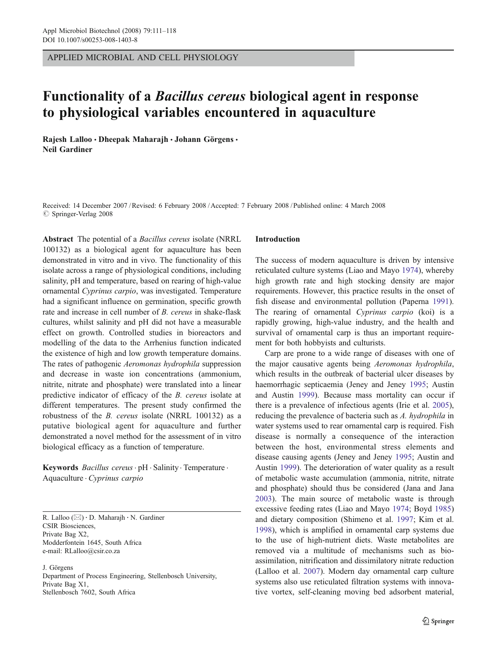APPLIED MICROBIAL AND CELL PHYSIOLOGY

# Functionality of a Bacillus cereus biological agent in response to physiological variables encountered in aquaculture

Rajesh Lalloo · Dheepak Maharajh · Johann Görgens · Neil Gardiner

Received: 14 December 2007 /Revised: 6 February 2008 /Accepted: 7 February 2008 / Published online: 4 March 2008  $\oslash$  Springer-Verlag 2008

Abstract The potential of a *Bacillus cereus* isolate (NRRL) 100132) as a biological agent for aquaculture has been demonstrated in vitro and in vivo. The functionality of this isolate across a range of physiological conditions, including salinity, pH and temperature, based on rearing of high-value ornamental Cyprinus carpio, was investigated. Temperature had a significant influence on germination, specific growth rate and increase in cell number of B. cereus in shake-flask cultures, whilst salinity and pH did not have a measurable effect on growth. Controlled studies in bioreactors and modelling of the data to the Arrhenius function indicated the existence of high and low growth temperature domains. The rates of pathogenic Aeromonas hydrophila suppression and decrease in waste ion concentrations (ammonium, nitrite, nitrate and phosphate) were translated into a linear predictive indicator of efficacy of the B. cereus isolate at different temperatures. The present study confirmed the robustness of the B. cereus isolate (NRRL 100132) as a putative biological agent for aquaculture and further demonstrated a novel method for the assessment of in vitro biological efficacy as a function of temperature.

Keywords Bacillus cereus · pH · Salinity · Temperature · Aquaculture . Cyprinus carpio

R. Lalloo (*\**) : D. Maharajh : N. Gardiner CSIR Biosciences, Private Bag X2, Modderfontein 1645, South Africa e-mail: RLalloo@csir.co.za

J. Görgens

Department of Process Engineering, Stellenbosch University, Private Bag X1, Stellenbosch 7602, South Africa

#### Introduction

The success of modern aquaculture is driven by intensive reticulated culture systems (Liao and Mayo [1974\)](#page-7-0), whereby high growth rate and high stocking density are major requirements. However, this practice results in the onset of fish disease and environmental pollution (Paperna [1991\)](#page-7-0). The rearing of ornamental Cyprinus carpio (koi) is a rapidly growing, high-value industry, and the health and survival of ornamental carp is thus an important requirement for both hobbyists and culturists.

Carp are prone to a wide range of diseases with one of the major causative agents being Aeromonas hydrophila, which results in the outbreak of bacterial ulcer diseases by haemorrhagic septicaemia (Jeney and Jeney [1995;](#page-7-0) Austin and Austin [1999](#page-6-0)). Because mass mortality can occur if there is a prevalence of infectious agents (Irie et al. [2005\)](#page-7-0), reducing the prevalence of bacteria such as A. hydrophila in water systems used to rear ornamental carp is required. Fish disease is normally a consequence of the interaction between the host, environmental stress elements and disease causing agents (Jeney and Jeney [1995;](#page-7-0) Austin and Austin [1999\)](#page-6-0). The deterioration of water quality as a result of metabolic waste accumulation (ammonia, nitrite, nitrate and phosphate) should thus be considered (Jana and Jana [2003](#page-7-0)). The main source of metabolic waste is through excessive feeding rates (Liao and Mayo [1974](#page-7-0); Boyd [1985](#page-6-0)) and dietary composition (Shimeno et al. [1997](#page-7-0); Kim et al. [1998](#page-7-0)), which is amplified in ornamental carp systems due to the use of high-nutrient diets. Waste metabolites are removed via a multitude of mechanisms such as bioassimilation, nitrification and dissimilatory nitrate reduction (Lalloo et al. [2007\)](#page-7-0). Modern day ornamental carp culture systems also use reticulated filtration systems with innovative vortex, self-cleaning moving bed adsorbent material,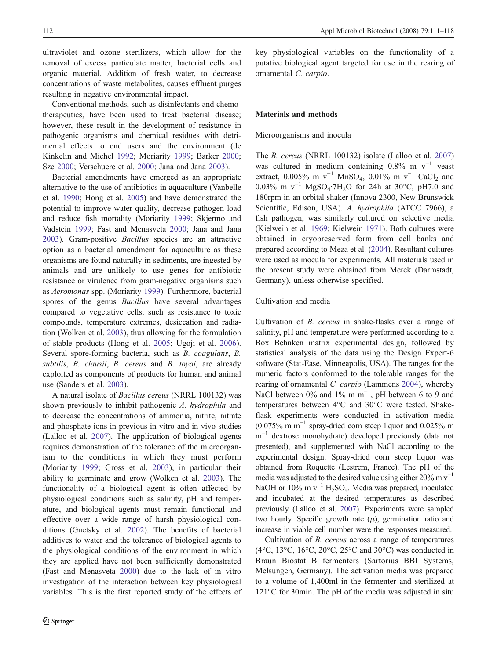112 Appl Microbiol Biotechnol (2008) 79:111–118

ultraviolet and ozone sterilizers, which allow for the removal of excess particulate matter, bacterial cells and organic material. Addition of fresh water, to decrease concentrations of waste metabolites, causes effluent purges resulting in negative environmental impact.

Conventional methods, such as disinfectants and chemotherapeutics, have been used to treat bacterial disease; however, these result in the development of resistance in pathogenic organisms and chemical residues with detrimental effects to end users and the environment (de Kinkelin and Michel [1992](#page-6-0); Moriarity [1999;](#page-7-0) Barker [2000](#page-6-0); Sze [2000](#page-7-0); Verschuere et al. [2000;](#page-7-0) Jana and Jana [2003](#page-7-0)).

Bacterial amendments have emerged as an appropriate alternative to the use of antibiotics in aquaculture (Vanbelle et al. [1990](#page-7-0); Hong et al. [2005](#page-7-0)) and have demonstrated the potential to improve water quality, decrease pathogen load and reduce fish mortality (Moriarity [1999;](#page-7-0) Skjermo and Vadstein [1999;](#page-7-0) Fast and Menasveta [2000;](#page-6-0) Jana and Jana [2003\)](#page-7-0). Gram-positive Bacillus species are an attractive option as a bacterial amendment for aquaculture as these organisms are found naturally in sediments, are ingested by animals and are unlikely to use genes for antibiotic resistance or virulence from gram-negative organisms such as Aeromonas spp. (Moriarity [1999](#page-7-0)). Furthermore, bacterial spores of the genus Bacillus have several advantages compared to vegetative cells, such as resistance to toxic compounds, temperature extremes, desiccation and radiation (Wolken et al. [2003](#page-7-0)), thus allowing for the formulation of stable products (Hong et al. [2005](#page-7-0); Ugoji et al. [2006](#page-7-0)). Several spore-forming bacteria, such as B. coagulans, B. subtilis, B. clausii, B. cereus and B. toyoi, are already exploited as components of products for human and animal use (Sanders et al. [2003](#page-7-0)).

A natural isolate of Bacillus cereus (NRRL 100132) was shown previously to inhibit pathogenic A. hydrophila and to decrease the concentrations of ammonia, nitrite, nitrate and phosphate ions in previous in vitro and in vivo studies (Lalloo et al. [2007\)](#page-7-0). The application of biological agents requires demonstration of the tolerance of the microorganism to the conditions in which they must perform (Moriarity [1999;](#page-7-0) Gross et al. [2003\)](#page-6-0), in particular their ability to germinate and grow (Wolken et al. [2003\)](#page-7-0). The functionality of a biological agent is often affected by physiological conditions such as salinity, pH and temperature, and biological agents must remain functional and effective over a wide range of harsh physiological conditions (Guetsky et al. [2002\)](#page-6-0). The benefits of bacterial additives to water and the tolerance of biological agents to the physiological conditions of the environment in which they are applied have not been sufficiently demonstrated (Fast and Menasveta [2000\)](#page-6-0) due to the lack of in vitro investigation of the interaction between key physiological variables. This is the first reported study of the effects of key physiological variables on the functionality of a putative biological agent targeted for use in the rearing of ornamental C. carpio.

# Materials and methods

#### Microorganisms and inocula

The B. cereus (NRRL 100132) isolate (Lalloo et al. [2007](#page-7-0)) was cultured in medium containing  $0.8\%$  m v<sup>-1</sup> yeast extract, 0.005% m v<sup>-1</sup> MnSO<sub>4</sub>, 0.01% m v<sup>-1</sup> CaCl<sub>2</sub> and 0.03% m v<sup>-1</sup> MgSO<sub>4</sub>·7H<sub>2</sub>O for 24h at 30°C, pH7.0 and 180rpm in an orbital shaker (Innova 2300, New Brunswick Scientific, Edison, USA). A. hydrophila (ATCC 7966), a fish pathogen, was similarly cultured on selective media (Kielwein et al. [1969;](#page-7-0) Kielwein [1971](#page-7-0)). Both cultures were obtained in cryopreserved form from cell banks and prepared according to Meza et al. ([2004\)](#page-7-0). Resultant cultures were used as inocula for experiments. All materials used in the present study were obtained from Merck (Darmstadt, Germany), unless otherwise specified.

# Cultivation and media

Cultivation of B. cereus in shake-flasks over a range of salinity, pH and temperature were performed according to a Box Behnken matrix experimental design, followed by statistical analysis of the data using the Design Expert-6 software (Stat-Ease, Minneapolis, USA). The ranges for the numeric factors conformed to the tolerable ranges for the rearing of ornamental C. carpio (Lammens [2004\)](#page-7-0), whereby NaCl between 0% and 1% m m<sup>-1</sup>, pH between 6 to 9 and temperatures between 4°C and 30°C were tested. Shakeflask experiments were conducted in activation media  $(0.075\% \text{ m m}^{-1}$  spray-dried corn steep liquor and 0.025% m m<sup>-1</sup> dextrose monohydrate) developed previously (data not presented), and supplemented with NaCl according to the experimental design. Spray-dried corn steep liquor was obtained from Roquette (Lestrem, France). The pH of the media was adjusted to the desired value using either 20% m  $v^{-1}$ NaOH or  $10\%$  m v<sup>-1</sup> H<sub>2</sub>SO<sub>4</sub>. Media was prepared, inoculated and incubated at the desired temperatures as described previously (Lalloo et al. [2007](#page-7-0)). Experiments were sampled two hourly. Specific growth rate  $(\mu)$ , germination ratio and increase in viable cell number were the responses measured.

Cultivation of B. cereus across a range of temperatures (4 $\rm ^{o}C$ , 13 $\rm ^{o}C$ , 16 $\rm ^{o}C$ , 20 $\rm ^{o}C$ , 25 $\rm ^{o}C$  and 30 $\rm ^{o}C$ ) was conducted in Braun Biostat B fermenters (Sartorius BBI Systems, Melsungen, Germany). The activation media was prepared to a volume of 1,400ml in the fermenter and sterilized at 121°C for 30min. The pH of the media was adjusted in situ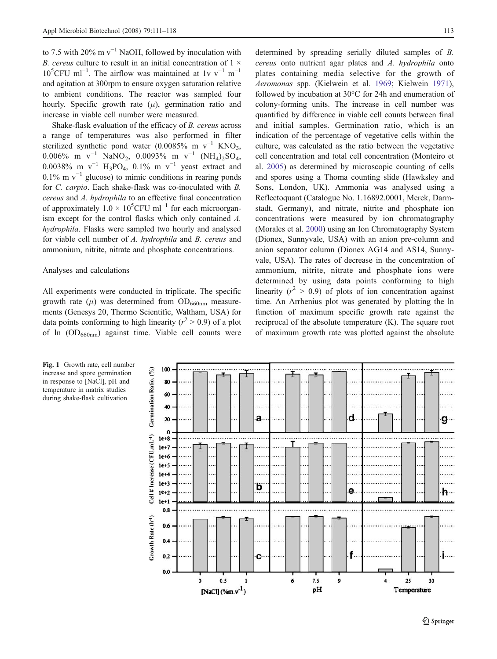<span id="page-2-0"></span>to 7.5 with 20% m  $v^{-1}$  NaOH, followed by inoculation with B. cereus culture to result in an initial concentration of  $1 \times$  $10^5$ CFU ml<sup>-1</sup>. The airflow was maintained at 1v v<sup>-1</sup> m<sup>-1</sup> and agitation at 300rpm to ensure oxygen saturation relative to ambient conditions. The reactor was sampled four hourly. Specific growth rate  $(\mu)$ , germination ratio and increase in viable cell number were measured.

Shake-flask evaluation of the efficacy of B. cereus across a range of temperatures was also performed in filter sterilized synthetic pond water (0.0085% m  $v^{-1}$  KNO<sub>3</sub>, 0.006% m v<sup>-1</sup> NaNO<sub>2</sub>, 0.0093% m v<sup>-1</sup> (NH<sub>4</sub>)<sub>2</sub>SO<sub>4</sub>, 0.0038% m v<sup>-1</sup> H<sub>3</sub>PO<sub>4</sub>, 0.1% m v<sup>-1</sup> yeast extract and 0.1% m  $v^{-1}$  glucose) to mimic conditions in rearing ponds for C. carpio. Each shake-flask was co-inoculated with B. cereus and A. hydrophila to an effective final concentration of approximately  $1.0 \times 10^5$ CFU ml<sup>-1</sup> for each microorganism except for the control flasks which only contained A. hydrophila. Flasks were sampled two hourly and analysed for viable cell number of A. hydrophila and B. cereus and ammonium, nitrite, nitrate and phosphate concentrations.

# Analyses and calculations

All experiments were conducted in triplicate. The specific growth rate  $(\mu)$  was determined from OD<sub>660nm</sub> measurements (Genesys 20, Thermo Scientific, Waltham, USA) for data points conforming to high linearity ( $r^2 > 0.9$ ) of a plot of ln (OD<sub>660nm</sub>) against time. Viable cell counts were

determined by spreading serially diluted samples of B. cereus onto nutrient agar plates and A. hydrophila onto plates containing media selective for the growth of Aeromonas spp. (Kielwein et al. [1969](#page-7-0); Kielwein [1971\)](#page-7-0), followed by incubation at 30°C for 24h and enumeration of colony-forming units. The increase in cell number was quantified by difference in viable cell counts between final and initial samples. Germination ratio, which is an indication of the percentage of vegetative cells within the culture, was calculated as the ratio between the vegetative cell concentration and total cell concentration (Monteiro et al. [2005\)](#page-7-0) as determined by microscopic counting of cells and spores using a Thoma counting slide (Hawksley and Sons, London, UK). Ammonia was analysed using a Reflectoquant (Catalogue No. 1.16892.0001, Merck, Darmstadt, Germany), and nitrate, nitrite and phosphate ion concentrations were measured by ion chromatography (Morales et al. [2000\)](#page-7-0) using an Ion Chromatography System (Dionex, Sunnyvale, USA) with an anion pre-column and anion separator column (Dionex AG14 and AS14, Sunnyvale, USA). The rates of decrease in the concentration of ammonium, nitrite, nitrate and phosphate ions were determined by using data points conforming to high linearity ( $r^2 > 0.9$ ) of plots of ion concentration against time. An Arrhenius plot was generated by plotting the ln function of maximum specific growth rate against the reciprocal of the absolute temperature (K). The square root of maximum growth rate was plotted against the absolute



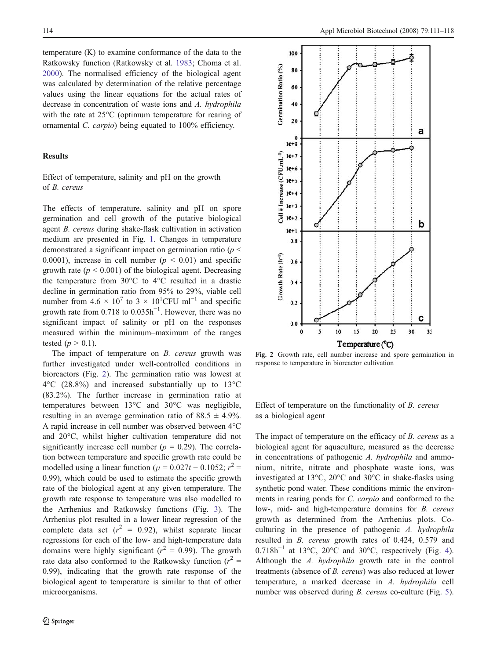<span id="page-3-0"></span>temperature (K) to examine conformance of the data to the Ratkowsky function (Ratkowsky et al. [1983;](#page-7-0) Choma et al. [2000\)](#page-6-0). The normalised efficiency of the biological agent was calculated by determination of the relative percentage values using the linear equations for the actual rates of decrease in concentration of waste ions and A. hydrophila with the rate at 25°C (optimum temperature for rearing of ornamental C. carpio) being equated to 100% efficiency.

# Results

Effect of temperature, salinity and pH on the growth of B. cereus

The effects of temperature, salinity and pH on spore germination and cell growth of the putative biological agent B. cereus during shake-flask cultivation in activation medium are presented in Fig. [1](#page-2-0). Changes in temperature demonstrated a significant impact on germination ratio ( $p <$ 0.0001), increase in cell number ( $p \le 0.01$ ) and specific growth rate ( $p \le 0.001$ ) of the biological agent. Decreasing the temperature from 30°C to 4°C resulted in a drastic decline in germination ratio from 95% to 29%, viable cell number from  $4.6 \times 10^7$  to  $3 \times 10^1$ CFU ml<sup>-1</sup> and specific growth rate from  $0.718$  to  $0.035h^{-1}$ . However, there was no significant impact of salinity or pH on the responses measured within the minimum–maximum of the ranges tested  $(p > 0.1)$ .

The impact of temperature on *B. cereus* growth was further investigated under well-controlled conditions in bioreactors (Fig. 2). The germination ratio was lowest at 4°C (28.8%) and increased substantially up to 13°C (83.2%). The further increase in germination ratio at temperatures between 13°C and 30°C was negligible, resulting in an average germination ratio of  $88.5 \pm 4.9\%$ . A rapid increase in cell number was observed between 4°C and 20°C, whilst higher cultivation temperature did not significantly increase cell number ( $p = 0.29$ ). The correlation between temperature and specific growth rate could be modelled using a linear function ( $\mu = 0.027t - 0.1052$ ;  $r^2 =$ 0.99), which could be used to estimate the specific growth rate of the biological agent at any given temperature. The growth rate response to temperature was also modelled to the Arrhenius and Ratkowsky functions (Fig. [3\)](#page-4-0). The Arrhenius plot resulted in a lower linear regression of the complete data set ( $r^2 = 0.92$ ), whilst separate linear regressions for each of the low- and high-temperature data domains were highly significant ( $r^2 = 0.99$ ). The growth rate data also conformed to the Ratkowsky function ( $r^2$  = 0.99), indicating that the growth rate response of the biological agent to temperature is similar to that of other microorganisms.



Fig. 2 Growth rate, cell number increase and spore germination in response to temperature in bioreactor cultivation

Effect of temperature on the functionality of B. cereus as a biological agent

The impact of temperature on the efficacy of B. cereus as a biological agent for aquaculture, measured as the decrease in concentrations of pathogenic A. hydrophila and ammonium, nitrite, nitrate and phosphate waste ions, was investigated at 13°C, 20°C and 30°C in shake-flasks using synthetic pond water. These conditions mimic the environments in rearing ponds for C. carpio and conformed to the low-, mid- and high-temperature domains for B. cereus growth as determined from the Arrhenius plots. Coculturing in the presence of pathogenic A. hydrophila resulted in B. cereus growth rates of 0.424, 0.579 and  $0.718h^{-1}$  at 13°C, 20°C and 30°C, respectively (Fig. [4\)](#page-4-0). Although the A. hydrophila growth rate in the control treatments (absence of B. cereus) was also reduced at lower temperature, a marked decrease in A. hydrophila cell number was observed during B. cereus co-culture (Fig. [5\)](#page-4-0).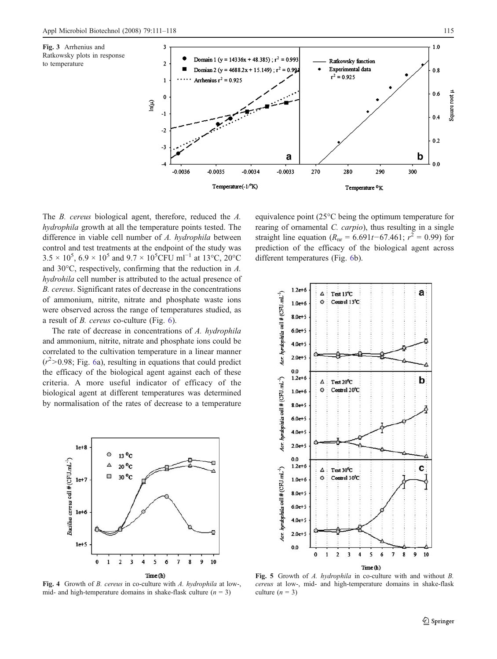<span id="page-4-0"></span>



The B. cereus biological agent, therefore, reduced the A. hydrophila growth at all the temperature points tested. The difference in viable cell number of A. hydrophila between control and test treatments at the endpoint of the study was  $3.5 \times 10^5$ ,  $6.9 \times 10^5$  and  $9.7 \times 10^5$ CFU ml<sup>-1</sup> at 13°C, 20°C and 30°C, respectively, confirming that the reduction in A. hydrohila cell number is attributed to the actual presence of B. cereus. Significant rates of decrease in the concentrations of ammonium, nitrite, nitrate and phosphate waste ions were observed across the range of temperatures studied, as a result of B. cereus co-culture (Fig. [6](#page-5-0)).

The rate of decrease in concentrations of A. hydrophila and ammonium, nitrite, nitrate and phosphate ions could be correlated to the cultivation temperature in a linear manner  $(r^2 > 0.98;$  Fig. [6](#page-5-0)a), resulting in equations that could predict the efficacy of the biological agent against each of these criteria. A more useful indicator of efficacy of the biological agent at different temperatures was determined by normalisation of the rates of decrease to a temperature



Fig. 4 Growth of B. cereus in co-culture with A. hydrophila at low-, mid- and high-temperature domains in shake-flask culture  $(n = 3)$ 

equivalence point (25°C being the optimum temperature for rearing of ornamental C. carpio), thus resulting in a single straight line equation ( $R_{\text{nr}} = 6.691t - 67.461$ ;  $r^2 = 0.99$ ) for prediction of the efficacy of the biological agent across different temperatures (Fig. [6](#page-5-0)b).



Fig. 5 Growth of A. hydrophila in co-culture with and without B. cereus at low-, mid- and high-temperature domains in shake-flask culture  $(n = 3)$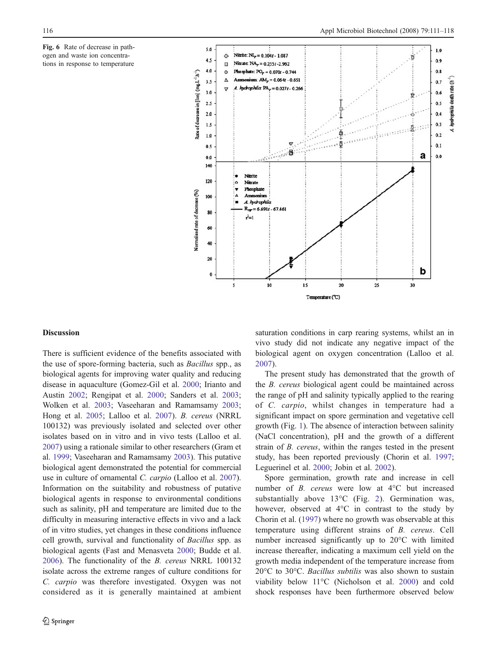<span id="page-5-0"></span>Fig. 6 Rate of decrease in pathogen and waste ion concentrations in response to temperature



#### Discussion

There is sufficient evidence of the benefits associated with the use of spore-forming bacteria, such as Bacillus spp., as biological agents for improving water quality and reducing disease in aquaculture (Gomez-Gil et al. [2000;](#page-6-0) Irianto and Austin [2002](#page-7-0); Rengipat et al. [2000;](#page-7-0) Sanders et al. [2003](#page-7-0); Wolken et al. [2003](#page-7-0); Vaseeharan and Ramamsamy [2003](#page-7-0); Hong et al. [2005](#page-7-0); Lalloo et al. [2007](#page-7-0)). B. cereus (NRRL 100132) was previously isolated and selected over other isolates based on in vitro and in vivo tests (Lalloo et al. [2007\)](#page-7-0) using a rationale similar to other researchers (Gram et al. [1999](#page-6-0); Vaseeharan and Ramamsamy [2003](#page-7-0)). This putative biological agent demonstrated the potential for commercial use in culture of ornamental C. carpio (Lalloo et al. [2007](#page-7-0)). Information on the suitability and robustness of putative biological agents in response to environmental conditions such as salinity, pH and temperature are limited due to the difficulty in measuring interactive effects in vivo and a lack of in vitro studies, yet changes in these conditions influence cell growth, survival and functionality of Bacillus spp. as biological agents (Fast and Menasveta [2000](#page-6-0); Budde et al. [2006\)](#page-6-0). The functionality of the B. cereus NRRL 100132 isolate across the extreme ranges of culture conditions for C. carpio was therefore investigated. Oxygen was not considered as it is generally maintained at ambient saturation conditions in carp rearing systems, whilst an in vivo study did not indicate any negative impact of the biological agent on oxygen concentration (Lalloo et al. [2007](#page-7-0)).

The present study has demonstrated that the growth of the B. cereus biological agent could be maintained across the range of pH and salinity typically applied to the rearing of C. carpio, whilst changes in temperature had a significant impact on spore germination and vegetative cell growth (Fig. [1](#page-2-0)). The absence of interaction between salinity (NaCl concentration), pH and the growth of a different strain of B. cereus, within the ranges tested in the present study, has been reported previously (Chorin et al. [1997;](#page-6-0) Leguerinel et al. [2000](#page-7-0); Jobin et al. [2002](#page-7-0)).

Spore germination, growth rate and increase in cell number of B. cereus were low at 4°C but increased substantially above 13°C (Fig. [2](#page-3-0)). Germination was, however, observed at 4°C in contrast to the study by Chorin et al. [\(1997](#page-6-0)) where no growth was observable at this temperature using different strains of B. cereus. Cell number increased significantly up to 20°C with limited increase thereafter, indicating a maximum cell yield on the growth media independent of the temperature increase from 20°C to 30°C. Bacillus subtilis was also shown to sustain viability below 11°C (Nicholson et al. [2000](#page-7-0)) and cold shock responses have been furthermore observed below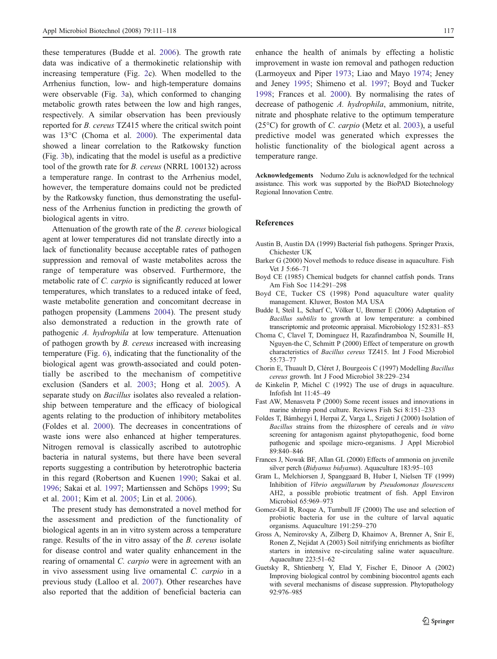<span id="page-6-0"></span>these temperatures (Budde et al. 2006). The growth rate data was indicative of a thermokinetic relationship with increasing temperature (Fig. [2](#page-3-0)c). When modelled to the Arrhenius function, low- and high-temperature domains were observable (Fig. [3](#page-4-0)a), which conformed to changing metabolic growth rates between the low and high ranges, respectively. A similar observation has been previously reported for *B. cereus* TZ415 where the critical switch point was 13°C (Choma et al. 2000). The experimental data showed a linear correlation to the Ratkowsky function (Fig. [3b](#page-4-0)), indicating that the model is useful as a predictive tool of the growth rate for B. cereus (NRRL 100132) across a temperature range. In contrast to the Arrhenius model, however, the temperature domains could not be predicted by the Ratkowsky function, thus demonstrating the usefulness of the Arrhenius function in predicting the growth of biological agents in vitro.

Attenuation of the growth rate of the B. cereus biological agent at lower temperatures did not translate directly into a lack of functionality because acceptable rates of pathogen suppression and removal of waste metabolites across the range of temperature was observed. Furthermore, the metabolic rate of C. carpio is significantly reduced at lower temperatures, which translates to a reduced intake of feed, waste metabolite generation and concomitant decrease in pathogen propensity (Lammens [2004\)](#page-7-0). The present study also demonstrated a reduction in the growth rate of pathogenic A. hydrophila at low temperature. Attenuation of pathogen growth by B. cereus increased with increasing temperature (Fig. [6](#page-5-0)), indicating that the functionality of the biological agent was growth-associated and could potentially be ascribed to the mechanism of competitive exclusion (Sanders et al. [2003](#page-7-0); Hong et al. [2005](#page-7-0)). A separate study on *Bacillus* isolates also revealed a relationship between temperature and the efficacy of biological agents relating to the production of inhibitory metabolites (Foldes et al. 2000). The decreases in concentrations of waste ions were also enhanced at higher temperatures. Nitrogen removal is classically ascribed to autotrophic bacteria in natural systems, but there have been several reports suggesting a contribution by heterotrophic bacteria in this regard (Robertson and Kuenen [1990](#page-7-0); Sakai et al. [1996;](#page-7-0) Sakai et al. [1997](#page-7-0); Martienssen and Schöps [1999;](#page-7-0) Su et al. [2001](#page-7-0); Kim et al. [2005](#page-7-0); Lin et al. [2006](#page-7-0)).

The present study has demonstrated a novel method for the assessment and prediction of the functionality of biological agents in an in vitro system across a temperature range. Results of the in vitro assay of the B. cereus isolate for disease control and water quality enhancement in the rearing of ornamental C. carpio were in agreement with an in vivo assessment using live ornamental C. carpio in a previous study (Lalloo et al. [2007](#page-7-0)). Other researches have also reported that the addition of beneficial bacteria can

enhance the health of animals by effecting a holistic improvement in waste ion removal and pathogen reduction (Larmoyeux and Piper [1973;](#page-7-0) Liao and Mayo [1974](#page-7-0); Jeney and Jeney [1995;](#page-7-0) Shimeno et al. [1997](#page-7-0); Boyd and Tucker 1998; Frances et al. 2000). By normalising the rates of decrease of pathogenic A. hydrophila, ammonium, nitrite, nitrate and phosphate relative to the optimum temperature (25 $\degree$ C) for growth of *C. carpio* (Metz et al. [2003\)](#page-7-0), a useful predictive model was generated which expresses the holistic functionality of the biological agent across a temperature range.

Acknowledgements Nodumo Zulu is acknowledged for the technical assistance. This work was supported by the BioPAD Biotechnology Regional Innovation Centre.

### References

- Austin B, Austin DA (1999) Bacterial fish pathogens. Springer Praxis, Chichester UK
- Barker G (2000) Novel methods to reduce disease in aquaculture. Fish Vet J 5:66–71
- Boyd CE (1985) Chemical budgets for channel catfish ponds. Trans Am Fish Soc 114:291–298
- Boyd CE, Tucker CS (1998) Pond aquaculture water quality management. Kluwer, Boston MA USA
- Budde I, Steil L, Scharf C, Völker U, Bremer E (2006) Adaptation of Bacillus subtilis to growth at low temperature: a combined transcriptomic and proteomic appraisal. Microbiology 152:831–853
- Choma C, Clavel T, Dominguez H, Razafindramboa N, Soumille H, Nguyen-the C, Schmitt P (2000) Effect of temperature on growth characteristics of Bacillus cereus TZ415. Int J Food Microbiol 55:73–77
- Chorin E, Thuault D, Cléret J, Bourgeois C (1997) Modelling Bacillus cereus growth. Int J Food Microbiol 38:229–234
- de Kinkelin P, Michel C (1992) The use of drugs in aquaculture. Infofish Int 11:45–49
- Fast AW, Menasveta P (2000) Some recent issues and innovations in marine shrimp pond culture. Reviews Fish Sci 8:151–233
- Foldes T, Bámhegyi I, Herpai Z, Varga L, Szigeti J (2000) Isolation of Bacillus strains from the rhizosphere of cereals and in vitro screening for antagonism against phytopathogenic, food borne pathogenic and spoilage micro-organisms. J Appl Microbiol 89:840–846
- Frances J, Nowak BF, Allan GL (2000) Effects of ammonia on juvenile silver perch (Bidyanus bidyanus). Aquaculture 183:95–103
- Gram L, Melchiorsen J, Spanggaard B, Huber I, Nielsen TF (1999) Inhibition of Vibrio anguillarum by Pseudomonas flourescens AH2, a possible probiotic treatment of fish. Appl Environ Microbiol 65:969–973
- Gomez-Gil B, Roque A, Turnbull JF (2000) The use and selection of probiotic bacteria for use in the culture of larval aquatic organisms. Aquaculture 191:259–270
- Gross A, Nemirovsky A, Zilberg D, Khaimov A, Brenner A, Snir E, Ronen Z, Nejidat A (2003) Soil nitrifying enrichments as biofilter starters in intensive re-circulating saline water aquaculture. Aquaculture 223:51–62
- Guetsky R, Shtienberg Y, Elad Y, Fischer E, Dinoor A (2002) Improving biological control by combining biocontrol agents each with several mechanisms of disease suppression. Phytopathology 92:976–985